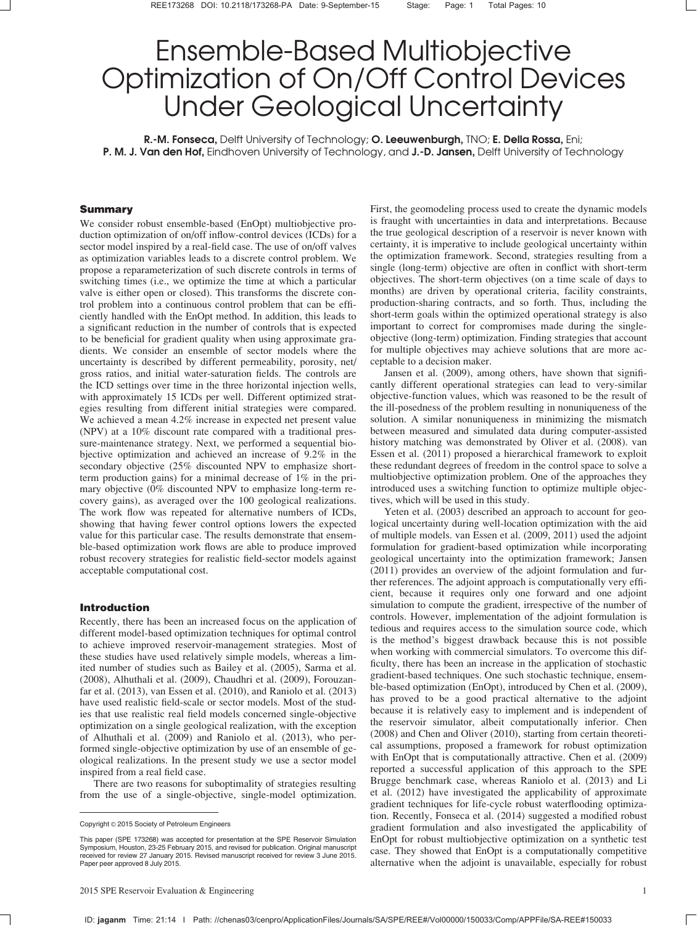# Ensemble-Based Multiobjective Optimization of On/Off Control Devices Under Geological Uncertainty

R.-M. Fonseca, Delft University of Technology; O. Leeuwenburgh, TNO; E. Della Rossa, Eni; P. M. J. Van den Hof, Eindhoven University of Technology, and J.-D. Jansen, Delft University of Technology

### Summary

We consider robust ensemble-based (EnOpt) multiobjective production optimization of on/off inflow-control devices (ICDs) for a sector model inspired by a real-field case. The use of on/off valves as optimization variables leads to a discrete control problem. We propose a reparameterization of such discrete controls in terms of switching times (i.e., we optimize the time at which a particular valve is either open or closed). This transforms the discrete control problem into a continuous control problem that can be efficiently handled with the EnOpt method. In addition, this leads to a significant reduction in the number of controls that is expected to be beneficial for gradient quality when using approximate gradients. We consider an ensemble of sector models where the uncertainty is described by different permeability, porosity, net/ gross ratios, and initial water-saturation fields. The controls are the ICD settings over time in the three horizontal injection wells, with approximately 15 ICDs per well. Different optimized strategies resulting from different initial strategies were compared. We achieved a mean 4.2% increase in expected net present value (NPV) at a 10% discount rate compared with a traditional pressure-maintenance strategy. Next, we performed a sequential biobjective optimization and achieved an increase of 9.2% in the secondary objective (25% discounted NPV to emphasize shortterm production gains) for a minimal decrease of 1% in the primary objective (0% discounted NPV to emphasize long-term recovery gains), as averaged over the 100 geological realizations. The work flow was repeated for alternative numbers of ICDs, showing that having fewer control options lowers the expected value for this particular case. The results demonstrate that ensemble-based optimization work flows are able to produce improved robust recovery strategies for realistic field-sector models against acceptable computational cost.

# Introduction

Recently, there has been an increased focus on the application of different model-based optimization techniques for optimal control to achieve improved reservoir-management strategies. Most of these studies have used relatively simple models, whereas a limited number of studies such as Bailey et al. (2005), Sarma et al. (2008), Alhuthali et al. (2009), Chaudhri et al. (2009), Forouzanfar et al. (2013), van Essen et al. (2010), and Raniolo et al. (2013) have used realistic field-scale or sector models. Most of the studies that use realistic real field models concerned single-objective optimization on a single geological realization, with the exception of Alhuthali et al. (2009) and Raniolo et al. (2013), who performed single-objective optimization by use of an ensemble of geological realizations. In the present study we use a sector model inspired from a real field case.

There are two reasons for suboptimality of strategies resulting from the use of a single-objective, single-model optimization.

2015 SPE Reservoir Evaluation & Engineering 1

First, the geomodeling process used to create the dynamic models is fraught with uncertainties in data and interpretations. Because the true geological description of a reservoir is never known with certainty, it is imperative to include geological uncertainty within the optimization framework. Second, strategies resulting from a single (long-term) objective are often in conflict with short-term objectives. The short-term objectives (on a time scale of days to months) are driven by operational criteria, facility constraints, production-sharing contracts, and so forth. Thus, including the short-term goals within the optimized operational strategy is also important to correct for compromises made during the singleobjective (long-term) optimization. Finding strategies that account for multiple objectives may achieve solutions that are more acceptable to a decision maker.

Jansen et al. (2009), among others, have shown that significantly different operational strategies can lead to very-similar objective-function values, which was reasoned to be the result of the ill-posedness of the problem resulting in nonuniqueness of the solution. A similar nonuniqueness in minimizing the mismatch between measured and simulated data during computer-assisted history matching was demonstrated by Oliver et al. (2008). van Essen et al. (2011) proposed a hierarchical framework to exploit these redundant degrees of freedom in the control space to solve a multiobjective optimization problem. One of the approaches they introduced uses a switching function to optimize multiple objectives, which will be used in this study.

Yeten et al. (2003) described an approach to account for geological uncertainty during well-location optimization with the aid of multiple models. van Essen et al. (2009, 2011) used the adjoint formulation for gradient-based optimization while incorporating geological uncertainty into the optimization framework; Jansen (2011) provides an overview of the adjoint formulation and further references. The adjoint approach is computationally very efficient, because it requires only one forward and one adjoint simulation to compute the gradient, irrespective of the number of controls. However, implementation of the adjoint formulation is tedious and requires access to the simulation source code, which is the method's biggest drawback because this is not possible when working with commercial simulators. To overcome this difficulty, there has been an increase in the application of stochastic gradient-based techniques. One such stochastic technique, ensemble-based optimization (EnOpt), introduced by Chen et al. (2009), has proved to be a good practical alternative to the adjoint because it is relatively easy to implement and is independent of the reservoir simulator, albeit computationally inferior. Chen (2008) and Chen and Oliver (2010), starting from certain theoretical assumptions, proposed a framework for robust optimization with EnOpt that is computationally attractive. Chen et al. (2009) reported a successful application of this approach to the SPE Brugge benchmark case, whereas Raniolo et al. (2013) and Li et al. (2012) have investigated the applicability of approximate gradient techniques for life-cycle robust waterflooding optimization. Recently, Fonseca et al. (2014) suggested a modified robust gradient formulation and also investigated the applicability of EnOpt for robust multiobjective optimization on a synthetic test case. They showed that EnOpt is a computationally competitive alternative when the adjoint is unavailable, especially for robust

Copyright © 2015 Society of Petroleum Engineers

This paper (SPE 173268) was accepted for presentation at the SPE Reservoir Simulation Symposium, Houston, 23-25 February 2015, and revised for publication. Original manuscript received for review 27 January 2015. Revised manuscript received for review 3 June 2015. Paper peer approved 8 July 2015.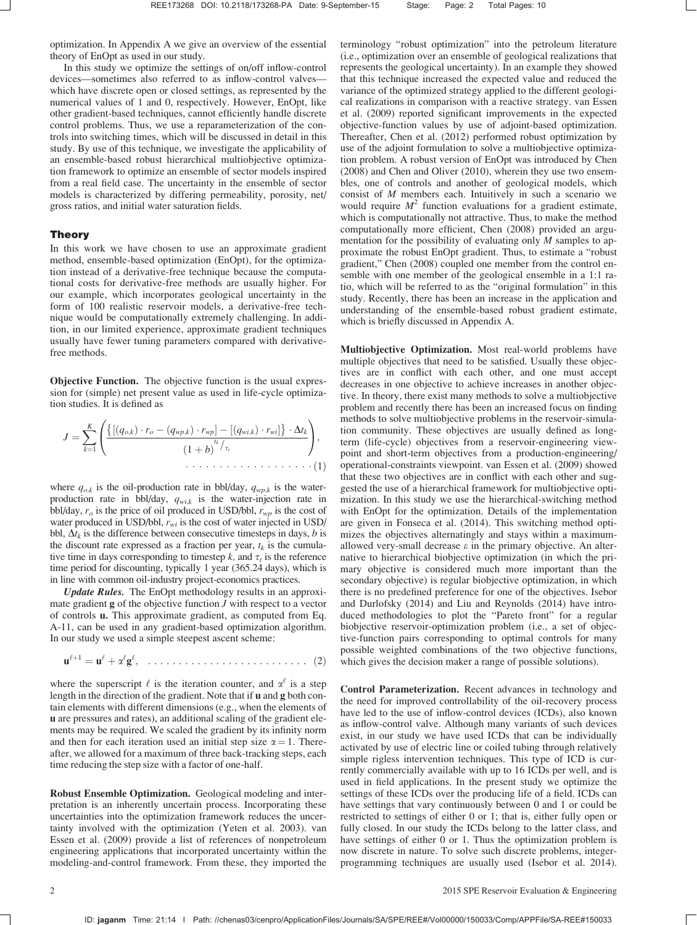optimization. In Appendix A we give an overview of the essential theory of EnOpt as used in our study.

In this study we optimize the settings of on/off inflow-control devices—sometimes also referred to as inflow-control valves which have discrete open or closed settings, as represented by the numerical values of 1 and 0, respectively. However, EnOpt, like other gradient-based techniques, cannot efficiently handle discrete control problems. Thus, we use a reparameterization of the controls into switching times, which will be discussed in detail in this study. By use of this technique, we investigate the applicability of an ensemble-based robust hierarchical multiobjective optimization framework to optimize an ensemble of sector models inspired from a real field case. The uncertainty in the ensemble of sector models is characterized by differing permeability, porosity, net/ gross ratios, and initial water saturation fields.

# Theory

In this work we have chosen to use an approximate gradient method, ensemble-based optimization (EnOpt), for the optimization instead of a derivative-free technique because the computational costs for derivative-free methods are usually higher. For our example, which incorporates geological uncertainty in the form of 100 realistic reservoir models, a derivative-free technique would be computationally extremely challenging. In addition, in our limited experience, approximate gradient techniques usually have fewer tuning parameters compared with derivativefree methods.

Objective Function. The objective function is the usual expression for (simple) net present value as used in life-cycle optimization studies. It is defined as

<sup>J</sup> <sup>¼</sup> <sup>X</sup><sup>K</sup> k¼1 ½ðqo;kÞ ro ðqwp;kÞ rwp ½ðqwi;kÞ rwi - - Dtk ð1 þ bÞ tk=s<sup>t</sup> 0 @ 1 A; - - - - - - - - - - - - - - - - - - ð1Þ

where  $q_{o,k}$  is the oil-production rate in bbl/day,  $q_{wp,k}$  is the waterproduction rate in bbl/day,  $q_{wik}$  is the water-injection rate in bbl/day,  $r_o$  is the price of oil produced in USD/bbl,  $r_{wp}$  is the cost of water produced in USD/bbl,  $r_{wi}$  is the cost of water injected in USD/ bbl,  $\Delta t_k$  is the difference between consecutive timesteps in days, b is the discount rate expressed as a fraction per year,  $t_k$  is the cumulative time in days corresponding to timestep  $k$ , and  $\tau_t$  is the reference time period for discounting, typically 1 year (365.24 days), which is in line with common oil-industry project-economics practices.

Update Rules. The EnOpt methodology results in an approximate gradient  $g$  of the objective function  $J$  with respect to a vector of controls u. This approximate gradient, as computed from Eq. A-11, can be used in any gradient-based optimization algorithm. In our study we used a simple steepest ascent scheme:

$$
\mathbf{u}^{\ell+1} = \mathbf{u}^{\ell} + \alpha^{\ell} \mathbf{g}^{\ell}, \quad \ldots \ldots \ldots \ldots \ldots \ldots \ldots \ldots \ldots \ldots \quad (2)
$$

where the superscript  $\ell$  is the iteration counter, and  $\alpha^{\ell}$  is a step length in the direction of the gradient. Note that if u and g both contain elements with different dimensions (e.g., when the elements of u are pressures and rates), an additional scaling of the gradient elements may be required. We scaled the gradient by its infinity norm and then for each iteration used an initial step size  $\alpha = 1$ . Thereafter, we allowed for a maximum of three back-tracking steps, each time reducing the step size with a factor of one-half.

Robust Ensemble Optimization. Geological modeling and interpretation is an inherently uncertain process. Incorporating these uncertainties into the optimization framework reduces the uncertainty involved with the optimization (Yeten et al. 2003). van Essen et al. (2009) provide a list of references of nonpetroleum engineering applications that incorporated uncertainty within the modeling-and-control framework. From these, they imported the

terminology "robust optimization" into the petroleum literature (i.e., optimization over an ensemble of geological realizations that represents the geological uncertainty). In an example they showed that this technique increased the expected value and reduced the variance of the optimized strategy applied to the different geological realizations in comparison with a reactive strategy. van Essen et al. (2009) reported significant improvements in the expected objective-function values by use of adjoint-based optimization. Thereafter, Chen et al. (2012) performed robust optimization by use of the adjoint formulation to solve a multiobjective optimization problem. A robust version of EnOpt was introduced by Chen (2008) and Chen and Oliver (2010), wherein they use two ensembles, one of controls and another of geological models, which consist of M members each. Intuitively in such a scenario we would require  $M<sup>2</sup>$  function evaluations for a gradient estimate, which is computationally not attractive. Thus, to make the method computationally more efficient, Chen (2008) provided an argumentation for the possibility of evaluating only M samples to approximate the robust EnOpt gradient. Thus, to estimate a "robust gradient," Chen (2008) coupled one member from the control ensemble with one member of the geological ensemble in a 1:1 ratio, which will be referred to as the "original formulation" in this study. Recently, there has been an increase in the application and understanding of the ensemble-based robust gradient estimate, which is briefly discussed in Appendix A.

Multiobjective Optimization. Most real-world problems have multiple objectives that need to be satisfied. Usually these objectives are in conflict with each other, and one must accept decreases in one objective to achieve increases in another objective. In theory, there exist many methods to solve a multiobjective problem and recently there has been an increased focus on finding methods to solve multiobjective problems in the reservoir-simulation community. These objectives are usually defined as longterm (life-cycle) objectives from a reservoir-engineering viewpoint and short-term objectives from a production-engineering/ operational-constraints viewpoint. van Essen et al. (2009) showed that these two objectives are in conflict with each other and suggested the use of a hierarchical framework for multiobjective optimization. In this study we use the hierarchical-switching method with EnOpt for the optimization. Details of the implementation are given in Fonseca et al. (2014). This switching method optimizes the objectives alternatingly and stays within a maximumallowed very-small decrease  $\varepsilon$  in the primary objective. An alternative to hierarchical biobjective optimization (in which the primary objective is considered much more important than the secondary objective) is regular biobjective optimization, in which there is no predefined preference for one of the objectives. Isebor and Durlofsky (2014) and Liu and Reynolds (2014) have introduced methodologies to plot the "Pareto front" for a regular biobjective reservoir-optimization problem (i.e., a set of objective-function pairs corresponding to optimal controls for many possible weighted combinations of the two objective functions, which gives the decision maker a range of possible solutions).

Control Parameterization. Recent advances in technology and the need for improved controllability of the oil-recovery process have led to the use of inflow-control devices (ICDs), also known as inflow-control valve. Although many variants of such devices exist, in our study we have used ICDs that can be individually activated by use of electric line or coiled tubing through relatively simple rigless intervention techniques. This type of ICD is currently commercially available with up to 16 ICDs per well, and is used in field applications. In the present study we optimize the settings of these ICDs over the producing life of a field. ICDs can have settings that vary continuously between 0 and 1 or could be restricted to settings of either 0 or 1; that is, either fully open or fully closed. In our study the ICDs belong to the latter class, and have settings of either 0 or 1. Thus the optimization problem is now discrete in nature. To solve such discrete problems, integerprogramming techniques are usually used (Isebor et al. 2014).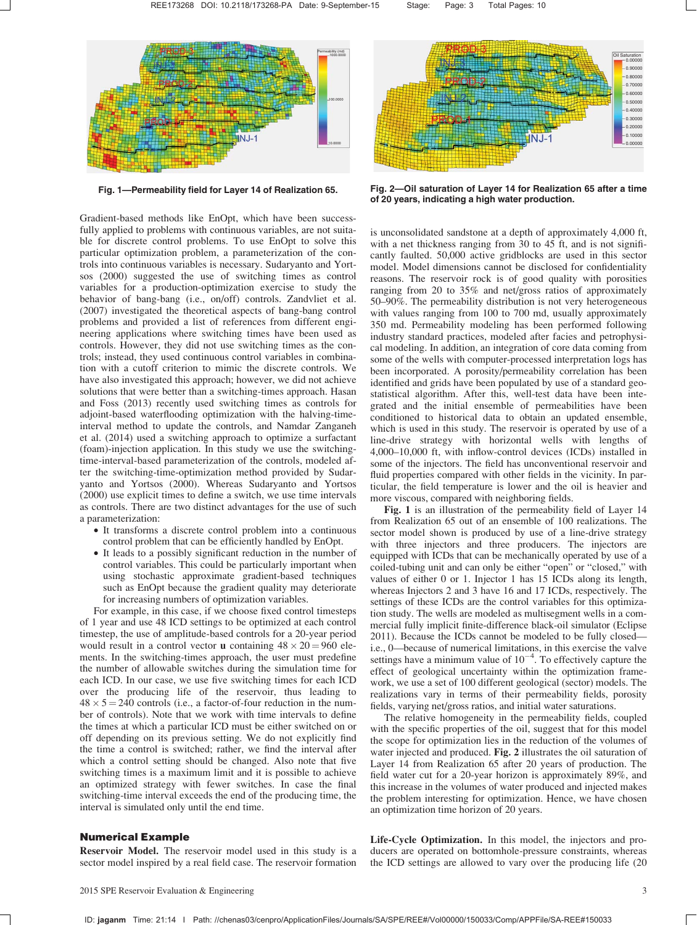

Fig. 1—Permeability field for Layer 14 of Realization 65.

Gradient-based methods like EnOpt, which have been successfully applied to problems with continuous variables, are not suitable for discrete control problems. To use EnOpt to solve this particular optimization problem, a parameterization of the controls into continuous variables is necessary. Sudaryanto and Yortsos (2000) suggested the use of switching times as control variables for a production-optimization exercise to study the behavior of bang-bang (i.e., on/off) controls. Zandvliet et al. (2007) investigated the theoretical aspects of bang-bang control problems and provided a list of references from different engineering applications where switching times have been used as controls. However, they did not use switching times as the controls; instead, they used continuous control variables in combination with a cutoff criterion to mimic the discrete controls. We have also investigated this approach; however, we did not achieve solutions that were better than a switching-times approach. Hasan and Foss (2013) recently used switching times as controls for adjoint-based waterflooding optimization with the halving-timeinterval method to update the controls, and Namdar Zanganeh et al. (2014) used a switching approach to optimize a surfactant (foam)-injection application. In this study we use the switchingtime-interval-based parameterization of the controls, modeled after the switching-time-optimization method provided by Sudaryanto and Yortsos (2000). Whereas Sudaryanto and Yortsos (2000) use explicit times to define a switch, we use time intervals as controls. There are two distinct advantages for the use of such a parameterization:

- It transforms a discrete control problem into a continuous control problem that can be efficiently handled by EnOpt.
- It leads to a possibly significant reduction in the number of control variables. This could be particularly important when using stochastic approximate gradient-based techniques such as EnOpt because the gradient quality may deteriorate for increasing numbers of optimization variables.

For example, in this case, if we choose fixed control timesteps of 1 year and use 48 ICD settings to be optimized at each control timestep, the use of amplitude-based controls for a 20-year period would result in a control vector **u** containing  $48 \times 20 = 960$  elements. In the switching-times approach, the user must predefine the number of allowable switches during the simulation time for each ICD. In our case, we use five switching times for each ICD over the producing life of the reservoir, thus leading to  $48 \times 5 = 240$  controls (i.e., a factor-of-four reduction in the number of controls). Note that we work with time intervals to define the times at which a particular ICD must be either switched on or off depending on its previous setting. We do not explicitly find the time a control is switched; rather, we find the interval after which a control setting should be changed. Also note that five switching times is a maximum limit and it is possible to achieve an optimized strategy with fewer switches. In case the final switching-time interval exceeds the end of the producing time, the interval is simulated only until the end time.

# Numerical Example

Reservoir Model. The reservoir model used in this study is a sector model inspired by a real field case. The reservoir formation



Fig. 2—Oil saturation of Layer 14 for Realization 65 after a time of 20 years, indicating a high water production.

is unconsolidated sandstone at a depth of approximately 4,000 ft, with a net thickness ranging from 30 to 45 ft, and is not significantly faulted. 50,000 active gridblocks are used in this sector model. Model dimensions cannot be disclosed for confidentiality reasons. The reservoir rock is of good quality with porosities ranging from 20 to 35% and net/gross ratios of approximately 50–90%. The permeability distribution is not very heterogeneous with values ranging from 100 to 700 md, usually approximately 350 md. Permeability modeling has been performed following industry standard practices, modeled after facies and petrophysical modeling. In addition, an integration of core data coming from some of the wells with computer-processed interpretation logs has been incorporated. A porosity/permeability correlation has been identified and grids have been populated by use of a standard geostatistical algorithm. After this, well-test data have been integrated and the initial ensemble of permeabilities have been conditioned to historical data to obtain an updated ensemble, which is used in this study. The reservoir is operated by use of a line-drive strategy with horizontal wells with lengths of 4,000–10,000 ft, with inflow-control devices (ICDs) installed in some of the injectors. The field has unconventional reservoir and fluid properties compared with other fields in the vicinity. In particular, the field temperature is lower and the oil is heavier and more viscous, compared with neighboring fields.

Fig. 1 is an illustration of the permeability field of Layer 14 from Realization 65 out of an ensemble of 100 realizations. The sector model shown is produced by use of a line-drive strategy with three injectors and three producers. The injectors are equipped with ICDs that can be mechanically operated by use of a coiled-tubing unit and can only be either "open" or "closed," with values of either 0 or 1. Injector 1 has 15 ICDs along its length, whereas Injectors 2 and 3 have 16 and 17 ICDs, respectively. The settings of these ICDs are the control variables for this optimization study. The wells are modeled as multisegment wells in a commercial fully implicit finite-difference black-oil simulator (Eclipse 2011). Because the ICDs cannot be modeled to be fully closed i.e., 0—because of numerical limitations, in this exercise the valve settings have a minimum value of  $10^{-4}$ . To effectively capture the effect of geological uncertainty within the optimization framework, we use a set of 100 different geological (sector) models. The realizations vary in terms of their permeability fields, porosity fields, varying net/gross ratios, and initial water saturations.

The relative homogeneity in the permeability fields, coupled with the specific properties of the oil, suggest that for this model the scope for optimization lies in the reduction of the volumes of water injected and produced. Fig. 2 illustrates the oil saturation of Layer 14 from Realization 65 after 20 years of production. The field water cut for a 20-year horizon is approximately 89%, and this increase in the volumes of water produced and injected makes the problem interesting for optimization. Hence, we have chosen an optimization time horizon of 20 years.

Life-Cycle Optimization. In this model, the injectors and producers are operated on bottomhole-pressure constraints, whereas the ICD settings are allowed to vary over the producing life (20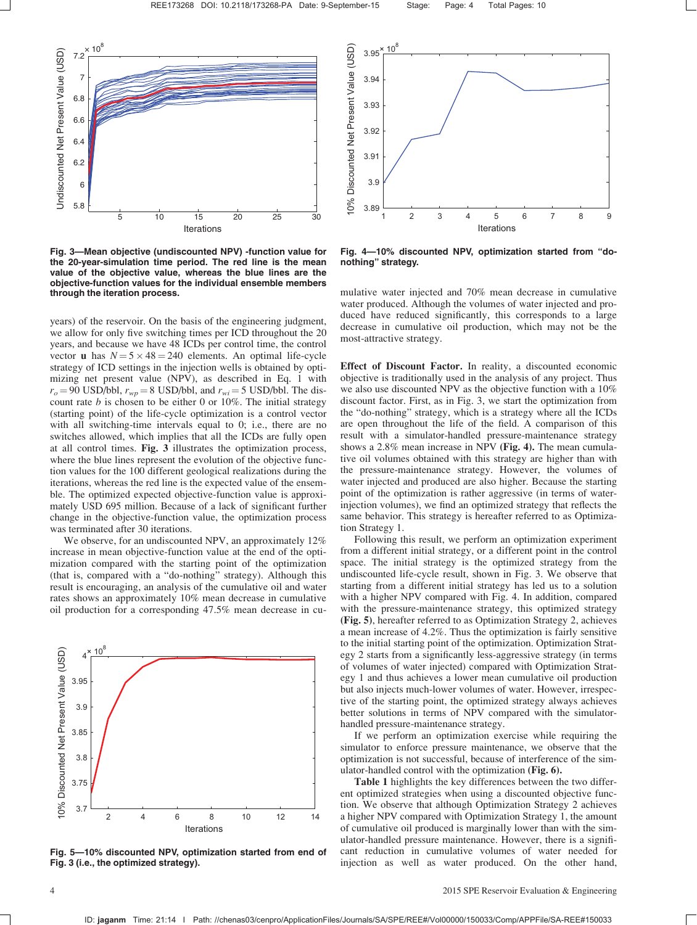

Fig. 3—Mean objective (undiscounted NPV) -function value for the 20-year-simulation time period. The red line is the mean value of the objective value, whereas the blue lines are the objective-function values for the individual ensemble members through the iteration process.

years) of the reservoir. On the basis of the engineering judgment, we allow for only five switching times per ICD throughout the 20 years, and because we have 48 ICDs per control time, the control vector **u** has  $N = 5 \times 48 = 240$  elements. An optimal life-cycle strategy of ICD settings in the injection wells is obtained by optimizing net present value (NPV), as described in Eq. 1 with  $r_o = 90$  USD/bbl,  $r_{wp} = 8$  USD/bbl, and  $r_{wi} = 5$  USD/bbl. The discount rate  $b$  is chosen to be either 0 or 10%. The initial strategy (starting point) of the life-cycle optimization is a control vector with all switching-time intervals equal to 0; i.e., there are no switches allowed, which implies that all the ICDs are fully open at all control times. Fig. 3 illustrates the optimization process, where the blue lines represent the evolution of the objective function values for the 100 different geological realizations during the iterations, whereas the red line is the expected value of the ensemble. The optimized expected objective-function value is approximately USD 695 million. Because of a lack of significant further change in the objective-function value, the optimization process was terminated after 30 iterations.

We observe, for an undiscounted NPV, an approximately 12% increase in mean objective-function value at the end of the optimization compared with the starting point of the optimization (that is, compared with a "do-nothing" strategy). Although this result is encouraging, an analysis of the cumulative oil and water rates shows an approximately 10% mean decrease in cumulative oil production for a corresponding 47.5% mean decrease in cu-



Fig. 5—10% discounted NPV, optimization started from end of Fig. 3 (i.e., the optimized strategy).



Fig. 4—10% discounted NPV, optimization started from "donothing" strategy.

mulative water injected and 70% mean decrease in cumulative water produced. Although the volumes of water injected and produced have reduced significantly, this corresponds to a large decrease in cumulative oil production, which may not be the most-attractive strategy.

Effect of Discount Factor. In reality, a discounted economic objective is traditionally used in the analysis of any project. Thus we also use discounted NPV as the objective function with a 10% discount factor. First, as in Fig. 3, we start the optimization from the "do-nothing" strategy, which is a strategy where all the ICDs are open throughout the life of the field. A comparison of this result with a simulator-handled pressure-maintenance strategy shows a 2.8% mean increase in NPV (Fig. 4). The mean cumulative oil volumes obtained with this strategy are higher than with the pressure-maintenance strategy. However, the volumes of water injected and produced are also higher. Because the starting point of the optimization is rather aggressive (in terms of waterinjection volumes), we find an optimized strategy that reflects the same behavior. This strategy is hereafter referred to as Optimization Strategy 1.

Following this result, we perform an optimization experiment from a different initial strategy, or a different point in the control space. The initial strategy is the optimized strategy from the undiscounted life-cycle result, shown in Fig. 3. We observe that starting from a different initial strategy has led us to a solution with a higher NPV compared with Fig. 4. In addition, compared with the pressure-maintenance strategy, this optimized strategy (Fig. 5), hereafter referred to as Optimization Strategy 2, achieves a mean increase of 4.2%. Thus the optimization is fairly sensitive to the initial starting point of the optimization. Optimization Strategy 2 starts from a significantly less-aggressive strategy (in terms of volumes of water injected) compared with Optimization Strategy 1 and thus achieves a lower mean cumulative oil production but also injects much-lower volumes of water. However, irrespective of the starting point, the optimized strategy always achieves better solutions in terms of NPV compared with the simulatorhandled pressure-maintenance strategy.

If we perform an optimization exercise while requiring the simulator to enforce pressure maintenance, we observe that the optimization is not successful, because of interference of the simulator-handled control with the optimization (Fig. 6).

Table 1 highlights the key differences between the two different optimized strategies when using a discounted objective function. We observe that although Optimization Strategy 2 achieves a higher NPV compared with Optimization Strategy 1, the amount of cumulative oil produced is marginally lower than with the simulator-handled pressure maintenance. However, there is a significant reduction in cumulative volumes of water needed for injection as well as water produced. On the other hand,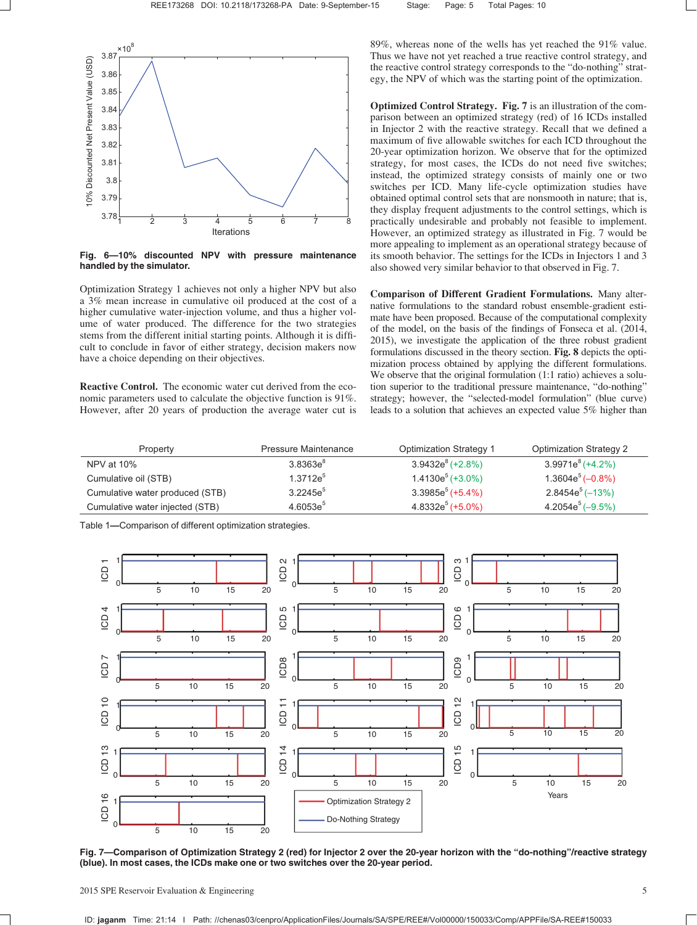

Fig. 6—10% discounted NPV with pressure maintenance handled by the simulator.

Optimization Strategy 1 achieves not only a higher NPV but also a 3% mean increase in cumulative oil produced at the cost of a higher cumulative water-injection volume, and thus a higher volume of water produced. The difference for the two strategies stems from the different initial starting points. Although it is difficult to conclude in favor of either strategy, decision makers now have a choice depending on their objectives.

Reactive Control. The economic water cut derived from the economic parameters used to calculate the objective function is 91%. However, after 20 years of production the average water cut is 89%, whereas none of the wells has yet reached the 91% value. Thus we have not yet reached a true reactive control strategy, and the reactive control strategy corresponds to the "do-nothing" strategy, the NPV of which was the starting point of the optimization.

Optimized Control Strategy. Fig. 7 is an illustration of the comparison between an optimized strategy (red) of 16 ICDs installed in Injector 2 with the reactive strategy. Recall that we defined a maximum of five allowable switches for each ICD throughout the 20-year optimization horizon. We observe that for the optimized strategy, for most cases, the ICDs do not need five switches; instead, the optimized strategy consists of mainly one or two switches per ICD. Many life-cycle optimization studies have obtained optimal control sets that are nonsmooth in nature; that is, they display frequent adjustments to the control settings, which is practically undesirable and probably not feasible to implement. However, an optimized strategy as illustrated in Fig. 7 would be more appealing to implement as an operational strategy because of its smooth behavior. The settings for the ICDs in Injectors 1 and 3 also showed very similar behavior to that observed in Fig. 7.

Comparison of Different Gradient Formulations. Many alternative formulations to the standard robust ensemble-gradient estimate have been proposed. Because of the computational complexity of the model, on the basis of the findings of Fonseca et al. (2014, 2015), we investigate the application of the three robust gradient formulations discussed in the theory section. Fig. 8 depicts the optimization process obtained by applying the different formulations. We observe that the original formulation (1:1 ratio) achieves a solution superior to the traditional pressure maintenance, "do-nothing" strategy; however, the "selected-model formulation" (blue curve) leads to a solution that achieves an expected value 5% higher than

| Property                        | Pressure Maintenance | <b>Optimization Strategy 1</b> | <b>Optimization Strategy 2</b> |
|---------------------------------|----------------------|--------------------------------|--------------------------------|
| NPV at 10%                      | $3.8363e^{8}$        | $3.9432e^8 (+2.8\%)$           | $3.9971e^8(+4.2\%)$            |
| Cumulative oil (STB)            | $1.3712e^{5}$        | $1.4130e5$ (+3.0%)             | $1.3604e^5(-0.8\%)$            |
| Cumulative water produced (STB) | $3.2245e^{5}$        | $3.3985e^5(+5.4\%)$            | $2.8454e^{5}(-13%)$            |
| Cumulative water injected (STB) | $4.6053e^5$          | $4.8332e^5$ (+5.0%)            | $4.2054e^5(-9.5\%)$            |

Table 1—Comparison of different optimization strategies.



Fig. 7—Comparison of Optimization Strategy 2 (red) for Injector 2 over the 20-year horizon with the "do-nothing"/reactive strategy (blue). In most cases, the ICDs make one or two switches over the 20-year period.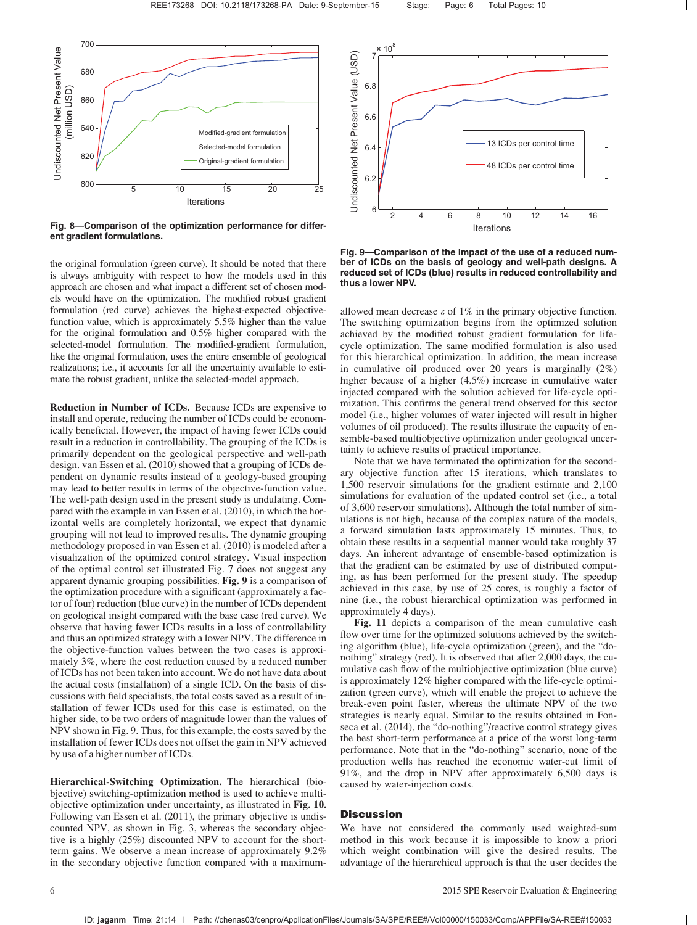

Fig. 8—Comparison of the optimization performance for different gradient formulations.

the original formulation (green curve). It should be noted that there is always ambiguity with respect to how the models used in this approach are chosen and what impact a different set of chosen models would have on the optimization. The modified robust gradient formulation (red curve) achieves the highest-expected objectivefunction value, which is approximately 5.5% higher than the value for the original formulation and 0.5% higher compared with the selected-model formulation. The modified-gradient formulation, like the original formulation, uses the entire ensemble of geological realizations; i.e., it accounts for all the uncertainty available to estimate the robust gradient, unlike the selected-model approach.

Reduction in Number of ICDs. Because ICDs are expensive to install and operate, reducing the number of ICDs could be economically beneficial. However, the impact of having fewer ICDs could result in a reduction in controllability. The grouping of the ICDs is primarily dependent on the geological perspective and well-path design. van Essen et al. (2010) showed that a grouping of ICDs dependent on dynamic results instead of a geology-based grouping may lead to better results in terms of the objective-function value. The well-path design used in the present study is undulating. Compared with the example in van Essen et al. (2010), in which the horizontal wells are completely horizontal, we expect that dynamic grouping will not lead to improved results. The dynamic grouping methodology proposed in van Essen et al. (2010) is modeled after a visualization of the optimized control strategy. Visual inspection of the optimal control set illustrated Fig. 7 does not suggest any apparent dynamic grouping possibilities. Fig. 9 is a comparison of the optimization procedure with a significant (approximately a factor of four) reduction (blue curve) in the number of ICDs dependent on geological insight compared with the base case (red curve). We observe that having fewer ICDs results in a loss of controllability and thus an optimized strategy with a lower NPV. The difference in the objective-function values between the two cases is approximately 3%, where the cost reduction caused by a reduced number of ICDs has not been taken into account. We do not have data about the actual costs (installation) of a single ICD. On the basis of discussions with field specialists, the total costs saved as a result of installation of fewer ICDs used for this case is estimated, on the higher side, to be two orders of magnitude lower than the values of NPV shown in Fig. 9. Thus, for this example, the costs saved by the installation of fewer ICDs does not offset the gain in NPV achieved by use of a higher number of ICDs.

Hierarchical-Switching Optimization. The hierarchical (biobjective) switching-optimization method is used to achieve multiobjective optimization under uncertainty, as illustrated in Fig. 10. Following van Essen et al. (2011), the primary objective is undiscounted NPV, as shown in Fig. 3, whereas the secondary objective is a highly (25%) discounted NPV to account for the shortterm gains. We observe a mean increase of approximately 9.2% in the secondary objective function compared with a maximum-



Fig. 9—Comparison of the impact of the use of a reduced number of ICDs on the basis of geology and well-path designs. A reduced set of ICDs (blue) results in reduced controllability and thus a lower NPV.

allowed mean decrease  $\varepsilon$  of 1% in the primary objective function. The switching optimization begins from the optimized solution achieved by the modified robust gradient formulation for lifecycle optimization. The same modified formulation is also used for this hierarchical optimization. In addition, the mean increase in cumulative oil produced over 20 years is marginally (2%) higher because of a higher (4.5%) increase in cumulative water injected compared with the solution achieved for life-cycle optimization. This confirms the general trend observed for this sector model (i.e., higher volumes of water injected will result in higher volumes of oil produced). The results illustrate the capacity of ensemble-based multiobjective optimization under geological uncertainty to achieve results of practical importance.

Note that we have terminated the optimization for the secondary objective function after 15 iterations, which translates to 1,500 reservoir simulations for the gradient estimate and 2,100 simulations for evaluation of the updated control set (i.e., a total of 3,600 reservoir simulations). Although the total number of simulations is not high, because of the complex nature of the models, a forward simulation lasts approximately 15 minutes. Thus, to obtain these results in a sequential manner would take roughly 37 days. An inherent advantage of ensemble-based optimization is that the gradient can be estimated by use of distributed computing, as has been performed for the present study. The speedup achieved in this case, by use of 25 cores, is roughly a factor of nine (i.e., the robust hierarchical optimization was performed in approximately 4 days).

Fig. 11 depicts a comparison of the mean cumulative cash flow over time for the optimized solutions achieved by the switching algorithm (blue), life-cycle optimization (green), and the "donothing" strategy (red). It is observed that after 2,000 days, the cumulative cash flow of the multiobjective optimization (blue curve) is approximately 12% higher compared with the life-cycle optimization (green curve), which will enable the project to achieve the break-even point faster, whereas the ultimate NPV of the two strategies is nearly equal. Similar to the results obtained in Fonseca et al. (2014), the "do-nothing"/reactive control strategy gives the best short-term performance at a price of the worst long-term performance. Note that in the "do-nothing" scenario, none of the production wells has reached the economic water-cut limit of 91%, and the drop in NPV after approximately 6,500 days is caused by water-injection costs.

# **Discussion**

We have not considered the commonly used weighted-sum method in this work because it is impossible to know a priori which weight combination will give the desired results. The advantage of the hierarchical approach is that the user decides the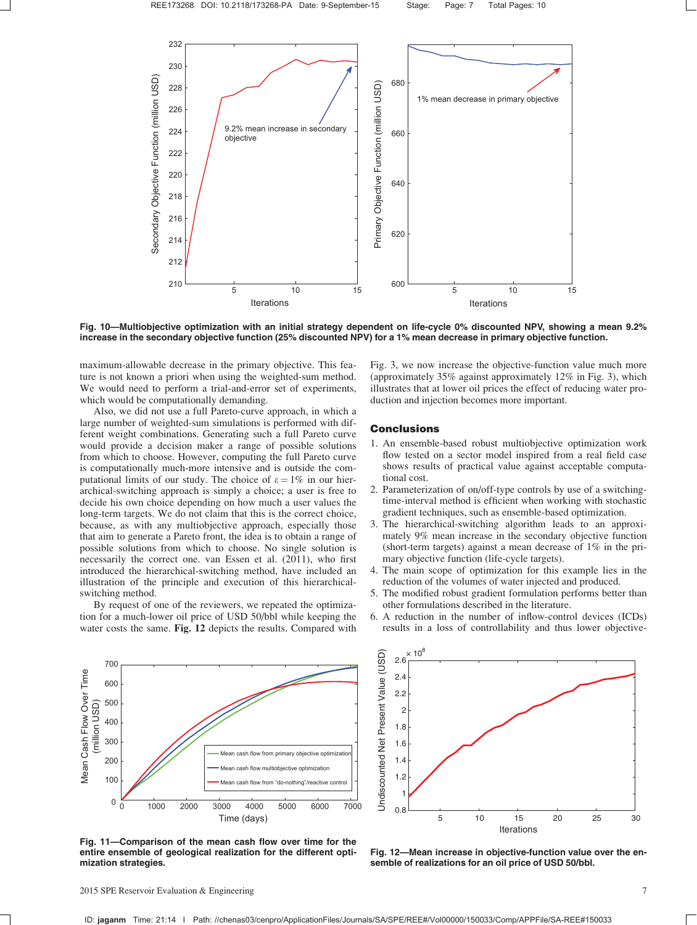

Fig. 10—Multiobjective optimization with an initial strategy dependent on life-cycle 0% discounted NPV, showing a mean 9.2% increase in the secondary objective function (25% discounted NPV) for a 1% mean decrease in primary objective function.

maximum-allowable decrease in the primary objective. This feature is not known a priori when using the weighted-sum method. We would need to perform a trial-and-error set of experiments, which would be computationally demanding.

Also, we did not use a full Pareto-curve approach, in which a large number of weighted-sum simulations is performed with different weight combinations. Generating such a full Pareto curve would provide a decision maker a range of possible solutions from which to choose. However, computing the full Pareto curve is computationally much-more intensive and is outside the computational limits of our study. The choice of  $\varepsilon = 1\%$  in our hierarchical-switching approach is simply a choice; a user is free to decide his own choice depending on how much a user values the long-term targets. We do not claim that this is the correct choice, because, as with any multiobjective approach, especially those that aim to generate a Pareto front, the idea is to obtain a range of possible solutions from which to choose. No single solution is necessarily the correct one. van Essen et al. (2011), who first introduced the hierarchical-switching method, have included an illustration of the principle and execution of this hierarchicalswitching method.

By request of one of the reviewers, we repeated the optimization for a much-lower oil price of USD 50/bbl while keeping the water costs the same. Fig. 12 depicts the results. Compared with Fig. 3, we now increase the objective-function value much more (approximately 35% against approximately 12% in Fig. 3), which illustrates that at lower oil prices the effect of reducing water production and injection becomes more important.

# Conclusions

- 1. An ensemble-based robust multiobjective optimization work flow tested on a sector model inspired from a real field case shows results of practical value against acceptable computational cost.
- 2. Parameterization of on/off-type controls by use of a switchingtime-interval method is efficient when working with stochastic gradient techniques, such as ensemble-based optimization.
- 3. The hierarchical-switching algorithm leads to an approximately 9% mean increase in the secondary objective function (short-term targets) against a mean decrease of 1% in the primary objective function (life-cycle targets).
- 4. The main scope of optimization for this example lies in the reduction of the volumes of water injected and produced.
- 5. The modified robust gradient formulation performs better than other formulations described in the literature.
- 6. A reduction in the number of inflow-control devices (ICDs) results in a loss of controllability and thus lower objective-



Fig. 11—Comparison of the mean cash flow over time for the entire ensemble of geological realization for the different optimization strategies.



Fig. 12—Mean increase in objective-function value over the ensemble of realizations for an oil price of USD 50/bbl.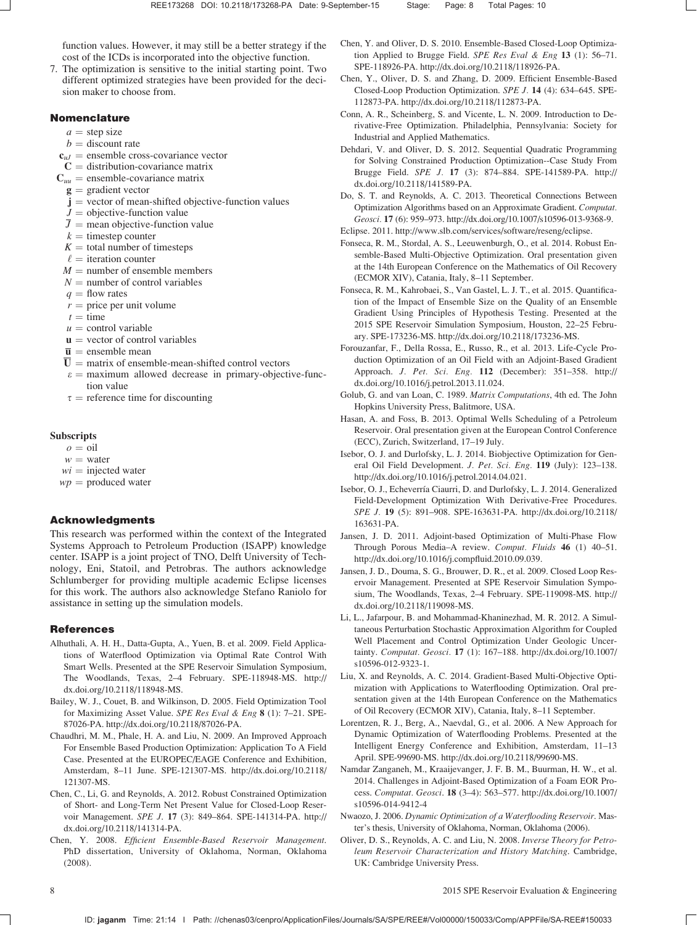function values. However, it may still be a better strategy if the cost of the ICDs is incorporated into the objective function.

7. The optimization is sensitive to the initial starting point. Two different optimized strategies have been provided for the decision maker to choose from.

#### Nomenclature

- $a =$  step size
- $b =$  discount rate
- $c_{uI}$  = ensemble cross-covariance vector
- $C =$  distribution-covariance matrix
- $C_{uu}$  = ensemble-covariance matrix
- $\mathbf{g} =$  gradient vector
- $j$  = vector of mean-shifted objective-function values
- $J =$  objective-function value
- $\overline{J}$  = mean objective-function value
- $k =$  timestep counter
- $K =$  total number of timesteps
- $\ell$  = iteration counter
- $M =$  number of ensemble members
- $N =$  number of control variables
- $q =$  flow rates
- $r$  = price per unit volume
- $t =$ time
- $u =$  control variable
- $u =$  vector of control variables
- $\overline{\mathbf{u}}$  = ensemble mean
- $\overline{U}$  = matrix of ensemble-mean-shifted control vectors
- $\varepsilon$  = maximum allowed decrease in primary-objective-function value
- $\tau$  = reference time for discounting

### **Subscripts**

- $o = oil$
- $w =$  water
- $wi$  = injected water
- $wp =$  produced water

# Acknowledgments

This research was performed within the context of the Integrated Systems Approach to Petroleum Production (ISAPP) knowledge center. ISAPP is a joint project of TNO, Delft University of Technology, Eni, Statoil, and Petrobras. The authors acknowledge Schlumberger for providing multiple academic Eclipse licenses for this work. The authors also acknowledge Stefano Raniolo for assistance in setting up the simulation models.

#### References

- Alhuthali, A. H. H., Datta-Gupta, A., Yuen, B. et al. 2009. Field Applications of Waterflood Optimization via Optimal Rate Control With Smart Wells. Presented at the SPE Reservoir Simulation Symposium, The Woodlands, Texas, 2–4 February. SPE-118948-MS. [http://](http://dx.doi.org/10.2118/118948-MS) [dx.doi.org/10.2118/118948-MS.](http://dx.doi.org/10.2118/118948-MS)
- Bailey, W. J., Couet, B. and Wilkinson, D. 2005. Field Optimization Tool for Maximizing Asset Value. SPE Res Eval & Eng 8 (1): 7–21. SPE-87026-PA. [http://dx.doi.org/10.2118/87026-PA.](http://dx.doi.org/10.2118/87026-PA)
- Chaudhri, M. M., Phale, H. A. and Liu, N. 2009. An Improved Approach For Ensemble Based Production Optimization: Application To A Field Case. Presented at the EUROPEC/EAGE Conference and Exhibition, Amsterdam, 8–11 June. SPE-121307-MS. [http://dx.doi.org/10.2118/](http://dx.doi.org/10.2118/121307-MS) [121307-MS.](http://dx.doi.org/10.2118/121307-MS)
- Chen, C., Li, G. and Reynolds, A. 2012. Robust Constrained Optimization of Short- and Long-Term Net Present Value for Closed-Loop Reservoir Management. SPE J. 17 (3): 849–864. SPE-141314-PA. [http://](http://dx.doi.org/10.2118/141314-PA) [dx.doi.org/10.2118/141314-PA.](http://dx.doi.org/10.2118/141314-PA)
- Chen, Y. 2008. Efficient Ensemble-Based Reservoir Management. PhD dissertation, University of Oklahoma, Norman, Oklahoma (2008).
- Chen, Y. and Oliver, D. S. 2010. Ensemble-Based Closed-Loop Optimization Applied to Brugge Field. SPE Res Eval & Eng 13 (1): 56–71. SPE-118926-PA. [http://dx.doi.org/10.2118/118926-PA.](http://dx.doi.org/10.2118/118926-PA)
- Chen, Y., Oliver, D. S. and Zhang, D. 2009. Efficient Ensemble-Based Closed-Loop Production Optimization. SPE J. 14 (4): 634–645. SPE-112873-PA. [http://dx.doi.org/10.2118/112873-PA.](http://dx.doi.org/10.2118/112873-PA)
- Conn, A. R., Scheinberg, S. and Vicente, L. N. 2009. Introduction to Derivative-Free Optimization. Philadelphia, Pennsylvania: Society for Industrial and Applied Mathematics.
- Dehdari, V. and Oliver, D. S. 2012. Sequential Quadratic Programming for Solving Constrained Production Optimization--Case Study From Brugge Field. SPE J. 17 (3): 874–884. SPE-141589-PA. [http://](http://dx.doi.org/10.2118/141589-PA) [dx.doi.org/10.2118/141589-PA.](http://dx.doi.org/10.2118/141589-PA)
- Do, S. T. and Reynolds, A. C. 2013. Theoretical Connections Between Optimization Algorithms based on an Approximate Gradient. Computat. Geosci. 17 (6): 959–973. [http://dx.doi.org/10.1007/s10596-013-9368-9.](http://dx.doi.org/10.1007/s10596-013-9368-9)
- Eclipse. 2011. [http://www.slb.com/services/software/reseng/eclipse.](http://www.slb.com/services/software/reseng/eclipse)
- Fonseca, R. M., Stordal, A. S., Leeuwenburgh, O., et al. 2014. Robust Ensemble-Based Multi-Objective Optimization. Oral presentation given at the 14th European Conference on the Mathematics of Oil Recovery (ECMOR XIV), Catania, Italy, 8–11 September.
- Fonseca, R. M., Kahrobaei, S., Van Gastel, L. J. T., et al. 2015. Quantification of the Impact of Ensemble Size on the Quality of an Ensemble Gradient Using Principles of Hypothesis Testing. Presented at the 2015 SPE Reservoir Simulation Symposium, Houston, 22–25 February. SPE-173236-MS. [http://dx.doi.org/10.2118/173236-MS.](http://dx.doi.org/10.2118/173236-MS)
- Forouzanfar, F., Della Rossa, E., Russo, R., et al. 2013. Life-Cycle Production Optimization of an Oil Field with an Adjoint-Based Gradient Approach. J. Pet. Sci. Eng. 112 (December): 351–358. [http://](http://dx.doi.org/10.1016/j.petrol.2013.11.024) [dx.doi.org/10.1016/j.petrol.2013.11.024.](http://dx.doi.org/10.1016/j.petrol.2013.11.024)
- Golub, G. and van Loan, C. 1989. Matrix Computations, 4th ed. The John Hopkins University Press, Balitmore, USA.
- Hasan, A. and Foss, B. 2013. Optimal Wells Scheduling of a Petroleum Reservoir. Oral presentation given at the European Control Conference (ECC), Zurich, Switzerland, 17–19 July.
- Isebor, O. J. and Durlofsky, L. J. 2014. Biobjective Optimization for General Oil Field Development. J. Pet. Sci. Eng. 119 (July): 123–138. [http://dx.doi.org/10.1016/j.petrol.2014.04.021.](http://dx.doi.org/10.1016/j.petrol.2014.04.021)
- Isebor, O. J., Echeverría Ciaurri, D. and Durlofsky, L. J. 2014. Generalized Field-Development Optimization With Derivative-Free Procedures. SPE J. 19 (5): 891–908. SPE-163631-PA. [http://dx.doi.org/10.2118/](http://dx.doi.org/10.2118/163631-PA) [163631-PA.](http://dx.doi.org/10.2118/163631-PA)
- Jansen, J. D. 2011. Adjoint-based Optimization of Multi-Phase Flow Through Porous Media–A review. Comput. Fluids 46 (1) 40–51. [http://dx.doi.org/10.1016/j.compfluid.2010.09.039.](http://dx.doi.org/10.1016/j.compfluid.2010.09.039)
- Jansen, J. D., Douma, S. G., Brouwer, D. R., et al. 2009. Closed Loop Reservoir Management. Presented at SPE Reservoir Simulation Symposium, The Woodlands, Texas, 2–4 February. SPE-119098-MS. [http://](http://dx.doi.org/10.2118/119098-MS) [dx.doi.org/10.2118/119098-MS.](http://dx.doi.org/10.2118/119098-MS)
- Li, L., Jafarpour, B. and Mohammad-Khaninezhad, M. R. 2012. A Simultaneous Perturbation Stochastic Approximation Algorithm for Coupled Well Placement and Control Optimization Under Geologic Uncertainty. Computat. Geosci. 17 (1): 167–188. [http://dx.doi.org/10.1007/](http://dx.doi.org/10.1007/s10596-012-9323-1) [s10596-012-9323-1.](http://dx.doi.org/10.1007/s10596-012-9323-1)
- Liu, X. and Reynolds, A. C. 2014. Gradient-Based Multi-Objective Optimization with Applications to Waterflooding Optimization. Oral presentation given at the 14th European Conference on the Mathematics of Oil Recovery (ECMOR XIV), Catania, Italy, 8–11 September.
- Lorentzen, R. J., Berg, A., Naevdal, G., et al. 2006. A New Approach for Dynamic Optimization of Waterflooding Problems. Presented at the Intelligent Energy Conference and Exhibition, Amsterdam, 11–13 April. SPE-99690-MS. [http://dx.doi.org/10.2118/99690-MS.](http://dx.doi.org/10.2118/99690-MS)
- Namdar Zanganeh, M., Kraaijevanger, J. F. B. M., Buurman, H. W., et al. 2014. Challenges in Adjoint-Based Optimization of a Foam EOR Process. Computat. Geosci. 18 (3–4): 563–577. [http://dx.doi.org/10.1007/](http://dx.doi.org/10.1007/s10596-014-9412-4) [s10596-014-9412-4](http://dx.doi.org/10.1007/s10596-014-9412-4)
- Nwaozo, J. 2006. Dynamic Optimization of a Waterflooding Reservoir. Master's thesis, University of Oklahoma, Norman, Oklahoma (2006).
- Oliver, D. S., Reynolds, A. C. and Liu, N. 2008. Inverse Theory for Petroleum Reservoir Characterization and History Matching. Cambridge, UK: Cambridge University Press.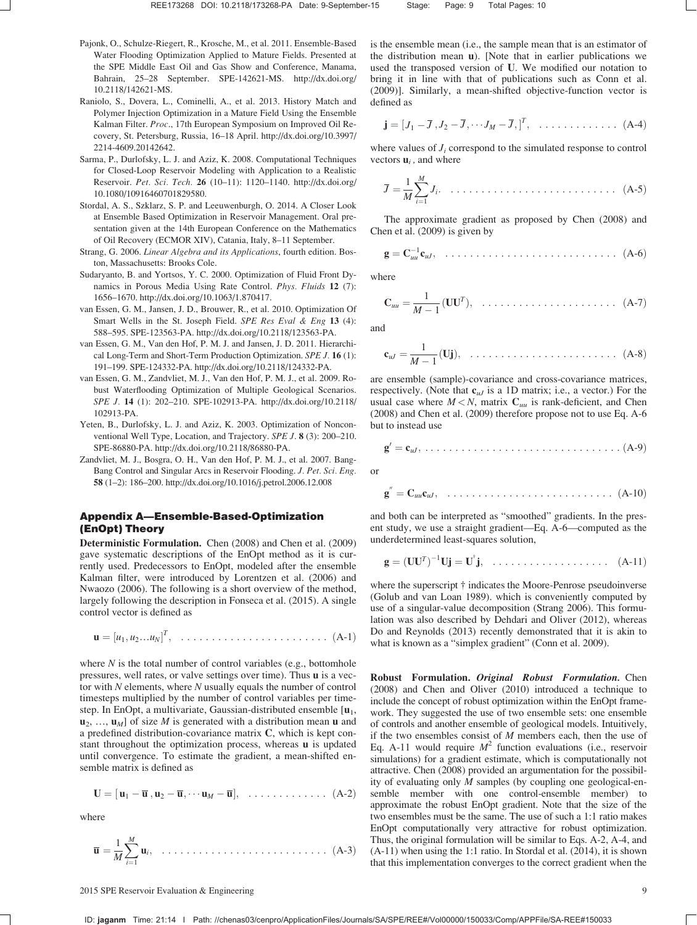- Pajonk, O., Schulze-Riegert, R., Krosche, M., et al. 2011. Ensemble-Based Water Flooding Optimization Applied to Mature Fields. Presented at the SPE Middle East Oil and Gas Show and Conference, Manama, Bahrain, 25–28 September. SPE-142621-MS. [http://dx.doi.org/](http://dx.doi.org/10.2118/142621-MS) [10.2118/142621-MS.](http://dx.doi.org/10.2118/142621-MS)
- Raniolo, S., Dovera, L., Cominelli, A., et al. 2013. History Match and Polymer Injection Optimization in a Mature Field Using the Ensemble Kalman Filter. Proc., 17th European Symposium on Improved Oil Recovery, St. Petersburg, Russia, 16–18 April. [http://dx.doi.org/10.3997/](http://dx.doi.org/10.3997/2214-4609.20142642) [2214-4609.20142642.](http://dx.doi.org/10.3997/2214-4609.20142642)
- Sarma, P., Durlofsky, L. J. and Aziz, K. 2008. Computational Techniques for Closed-Loop Reservoir Modeling with Application to a Realistic Reservoir. Pet. Sci. Tech. 26 (10–11): 1120–1140. [http://dx.doi.org/](http://dx.doi.org/10.1080/10916460701829580) [10.1080/10916460701829580.](http://dx.doi.org/10.1080/10916460701829580)
- Stordal, A. S., Szklarz, S. P. and Leeuwenburgh, O. 2014. A Closer Look at Ensemble Based Optimization in Reservoir Management. Oral presentation given at the 14th European Conference on the Mathematics of Oil Recovery (ECMOR XIV), Catania, Italy, 8–11 September.
- Strang, G. 2006. Linear Algebra and its Applications, fourth edition. Boston, Massachusetts: Brooks Cole.
- Sudaryanto, B. and Yortsos, Y. C. 2000. Optimization of Fluid Front Dynamics in Porous Media Using Rate Control. Phys. Fluids 12 (7): 1656–1670. [http://dx.doi.org/10.1063/1.870417.](http://dx.doi.org/10.1063/1.870417)
- van Essen, G. M., Jansen, J. D., Brouwer, R., et al. 2010. Optimization Of Smart Wells in the St. Joseph Field. SPE Res Eval & Eng 13 (4): 588–595. SPE-123563-PA. [http://dx.doi.org/10.2118/123563-PA.](http://dx.doi.org/10.2118/123563-PA)
- van Essen, G. M., Van den Hof, P. M. J. and Jansen, J. D. 2011. Hierarchical Long-Term and Short-Term Production Optimization. SPE J. 16 (1): 191–199. SPE-124332-PA. [http://dx.doi.org/10.2118/124332-PA.](http://dx.doi.org/10.2118/124332-PA)
- van Essen, G. M., Zandvliet, M. J., Van den Hof, P. M. J., et al. 2009. Robust Waterflooding Optimization of Multiple Geological Scenarios. SPE J. 14 (1): 202–210. SPE-102913-PA. [http://dx.doi.org/10.2118/](http://dx.doi.org/10.2118/102913-PA) [102913-PA.](http://dx.doi.org/10.2118/102913-PA)
- Yeten, B., Durlofsky, L. J. and Aziz, K. 2003. Optimization of Nonconventional Well Type, Location, and Trajectory. SPE J. 8 (3): 200–210. SPE-86880-PA. [http://dx.doi.org/10.2118/86880-PA.](http://dx.doi.org/10.2118/86880-PA)
- Zandvliet, M. J., Bosgra, O. H., Van den Hof, P. M. J., et al. 2007. Bang-Bang Control and Singular Arcs in Reservoir Flooding. J. Pet. Sci. Eng. 58 (1–2): 186–200.<http://dx.doi.org/10.1016/j.petrol.2006.12.008>

# Appendix A—Ensemble-Based-Optimization (EnOpt) Theory

Deterministic Formulation. Chen (2008) and Chen et al. (2009) gave systematic descriptions of the EnOpt method as it is currently used. Predecessors to EnOpt, modeled after the ensemble Kalman filter, were introduced by Lorentzen et al. (2006) and Nwaozo (2006). The following is a short overview of the method, largely following the description in Fonseca et al. (2015). A single control vector is defined as

u ¼ ½u1; u2…uN T ; ðA-1Þ ........................

where  $N$  is the total number of control variables (e.g., bottomhole pressures, well rates, or valve settings over time). Thus u is a vector with  $N$  elements, where  $N$  usually equals the number of control timesteps multiplied by the number of control variables per timestep. In EnOpt, a multivariate, Gaussian-distributed ensemble  $[\mathbf{u}_1,$  $\mathbf{u}_2, \ldots, \mathbf{u}_M$  of size *M* is generated with a distribution mean **u** and a predefined distribution-covariance matrix C, which is kept constant throughout the optimization process, whereas u is updated until convergence. To estimate the gradient, a mean-shifted ensemble matrix is defined as

$$
\mathbf{U} = [\mathbf{u}_1 - \overline{\mathbf{u}}, \mathbf{u}_2 - \overline{\mathbf{u}}, \cdots \mathbf{u}_M - \overline{\mathbf{u}}], \ldots \ldots \ldots \ldots \ldots (A-2)
$$

where

<sup>u</sup> <sup>¼</sup> <sup>1</sup> M X<sup>M</sup> i¼1 ui; ðA-3Þ ...........................

is the ensemble mean (i.e., the sample mean that is an estimator of the distribution mean u). [Note that in earlier publications we used the transposed version of U. We modified our notation to bring it in line with that of publications such as Conn et al. (2009)]. Similarly, a mean-shifted objective-function vector is defined as

$$
\mathbf{j} = [J_1 - \overline{J}, J_2 - \overline{J}, \cdots J_M - \overline{J}, ]^T, \quad \ldots \ldots \ldots \ldots \ldots \quad (A-4)
$$

where values of  $J_i$  correspond to the simulated response to control vectors  $\mathbf{u}_i$ , and where

$$
\overline{J} = \frac{1}{M} \sum_{i=1}^{M} J_i. \quad \dots \quad \dots \quad \dots \quad \dots \quad \dots \quad \dots \quad \text{(A-5)}
$$

The approximate gradient as proposed by Chen (2008) and Chen et al. (2009) is given by

$$
\mathbf{g} = \mathbf{C}_{uu}^{-1} \mathbf{c}_{uJ}, \quad \dots \quad \dots \quad \dots \quad \dots \quad \dots \quad \dots \quad \text{(A-6)}
$$

where

$$
\mathbf{C}_{uu} = \frac{1}{M-1}(\mathbf{U}\mathbf{U}^T), \quad \dots \quad \dots \quad \dots \quad \dots \quad \text{(A-7)}
$$

and

$$
\mathbf{c}_{uJ} = \frac{1}{M-1}(\mathbf{Uj}), \quad \dots \dots \dots \dots \dots \dots \dots \dots \quad \text{(A-8)}
$$

are ensemble (sample)-covariance and cross-covariance matrices, respectively. (Note that  $c_{uJ}$  is a 1D matrix; i.e., a vector.) For the usual case where  $M < N$ , matrix  $C_{uu}$  is rank-deficient, and Chen (2008) and Chen et al. (2009) therefore propose not to use Eq. A-6 but to instead use

$$
\mathbf{g}' = \mathbf{c}_{uJ}, \ldots \ldots \ldots \ldots \ldots \ldots \ldots \ldots \ldots \ldots \ldots \ldots (A-9)
$$

or

$$
\mathbf{g}^{''} = \mathbf{C}_{uu}\mathbf{c}_{uJ}, \quad \ldots \ldots \ldots \ldots \ldots \ldots \ldots \ldots \ldots \ldots \quad (A-10)
$$

and both can be interpreted as "smoothed" gradients. In the present study, we use a straight gradient—Eq. A-6—computed as the underdetermined least-squares solution,

$$
\mathbf{g} = (\mathbf{U}\mathbf{U}^T)^{-1}\mathbf{U}\mathbf{j} = \mathbf{U}^{\dagger}\mathbf{j}, \quad \dots \dots \dots \dots \dots \dots \quad (A-11)
$$

where the superscript † indicates the Moore-Penrose pseudoinverse (Golub and van Loan 1989). which is conveniently computed by use of a singular-value decomposition (Strang 2006). This formulation was also described by Dehdari and Oliver (2012), whereas Do and Reynolds (2013) recently demonstrated that it is akin to what is known as a "simplex gradient" (Conn et al. 2009).

Robust Formulation. Original Robust Formulation. Chen (2008) and Chen and Oliver (2010) introduced a technique to include the concept of robust optimization within the EnOpt framework. They suggested the use of two ensemble sets: one ensemble of controls and another ensemble of geological models. Intuitively, if the two ensembles consist of  $M$  members each, then the use of Eq. A-11 would require  $M^2$  function evaluations (i.e., reservoir simulations) for a gradient estimate, which is computationally not attractive. Chen (2008) provided an argumentation for the possibility of evaluating only M samples (by coupling one geological-ensemble member with one control-ensemble member) to approximate the robust EnOpt gradient. Note that the size of the two ensembles must be the same. The use of such a 1:1 ratio makes EnOpt computationally very attractive for robust optimization. Thus, the original formulation will be similar to Eqs. A-2, A-4, and (A-11) when using the 1:1 ratio. In Stordal et al. (2014), it is shown that this implementation converges to the correct gradient when the